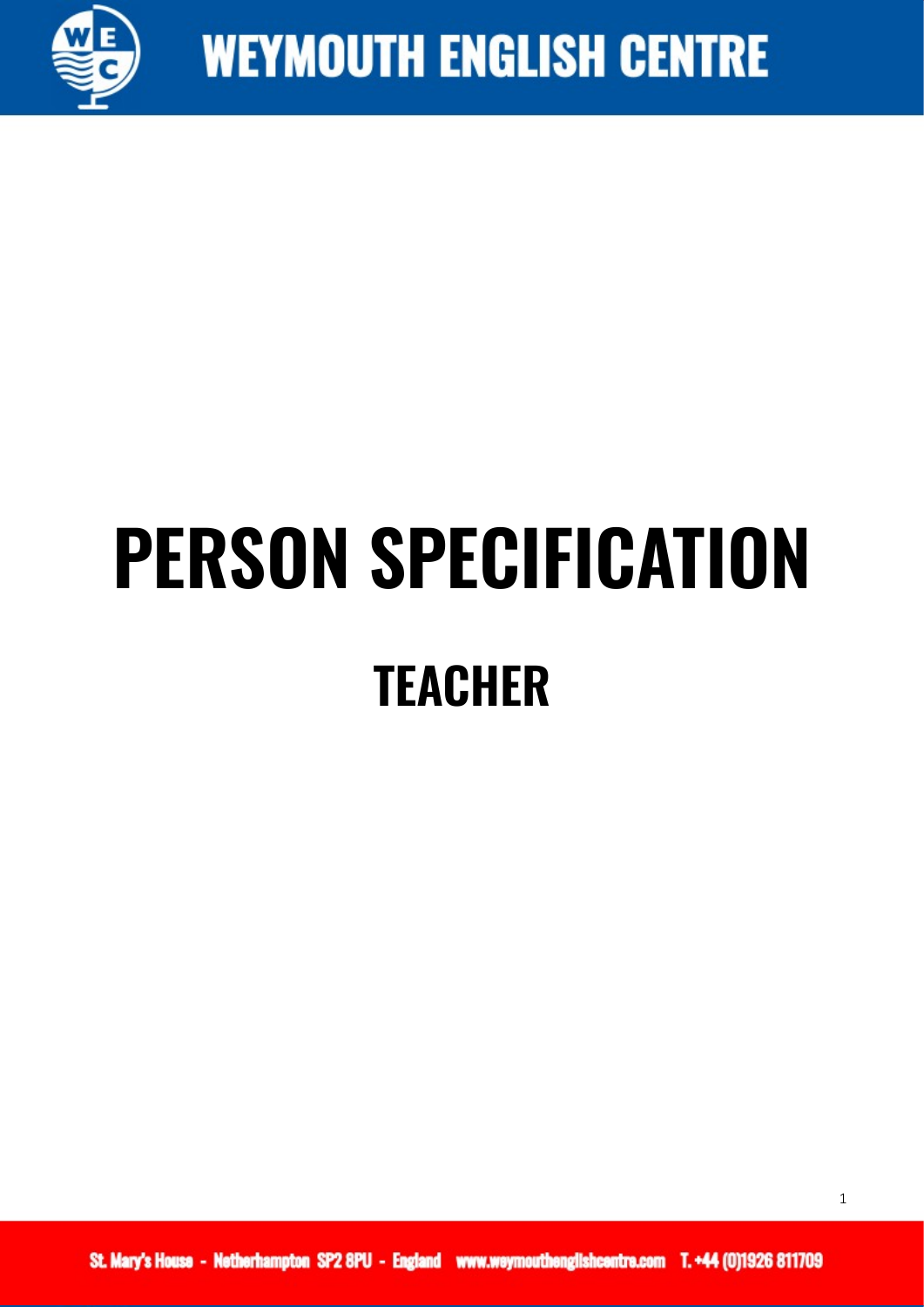

## **PERSON SPECIFICATION TEACHER**